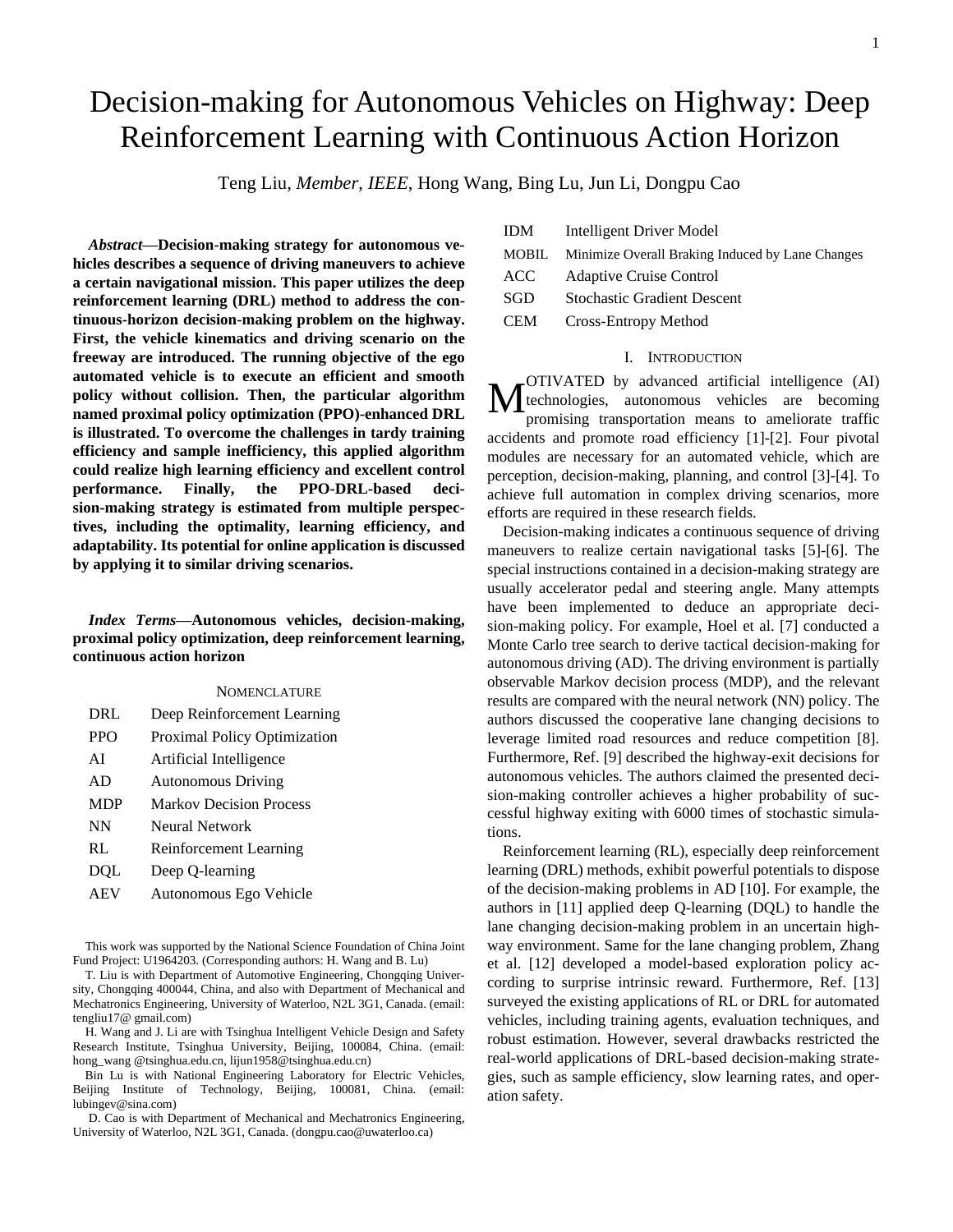# Decision-making for Autonomous Vehicles on Highway: Deep Reinforcement Learning with Continuous Action Horizon

Teng Liu, *Member*, *IEEE*, Hong Wang, Bing Lu, Jun Li, Dongpu Cao

*Abstract***—Decision-making strategy for autonomous vehicles describes a sequence of driving maneuvers to achieve a certain navigational mission. This paper utilizes the deep reinforcement learning (DRL) method to address the continuous-horizon decision-making problem on the highway. First, the vehicle kinematics and driving scenario on the freeway are introduced. The running objective of the ego automated vehicle is to execute an efficient and smooth policy without collision. Then, the particular algorithm named proximal policy optimization (PPO)-enhanced DRL is illustrated. To overcome the challenges in tardy training efficiency and sample inefficiency, this applied algorithm could realize high learning efficiency and excellent control performance. Finally, the PPO-DRL-based decision-making strategy is estimated from multiple perspectives, including the optimality, learning efficiency, and adaptability. Its potential for online application is discussed by applying it to similar driving scenarios.**

# *Index Terms***—Autonomous vehicles, decision-making, proximal policy optimization, deep reinforcement learning, continuous action horizon**

# **NOMENCLATURE**

| DRL        | Deep Reinforcement Learning    |
|------------|--------------------------------|
| <b>PPO</b> | Proximal Policy Optimization   |
| AI         | Artificial Intelligence        |
| AD         | <b>Autonomous Driving</b>      |
| <b>MDP</b> | <b>Markov Decision Process</b> |
| NN         | Neural Network                 |
| RL         | Reinforcement Learning         |
| <b>DQL</b> | Deep Q-learning                |
| AEV        | Autonomous Ego Vehicle         |

This work was supported by the National Science Foundation of China Joint Fund Project: U1964203. (Corresponding authors: H. Wang and B. Lu)

T. Liu is with Department of Automotive Engineering, Chongqing University, Chongqing 400044, China, and also with Department of Mechanical and Mechatronics Engineering, University of Waterloo, N2L 3G1, Canada. (email: [tengliu17@ gmail.com\)](mailto:tengliu17@gmail.com)

H. Wang and J. Li are with Tsinghua Intelligent Vehicle Design and Safety Research Institute, Tsinghua University, Beijing, 100084, China. (email: [hong\\_wang @tsinghua.edu.cn,](mailto:tengliu17@gmail.com) lijun1958@tsinghua.edu.cn)

 Bin Lu is with National Engineering Laboratory for Electric Vehicles, Beijing Institute of Technology, Beijing, 100081, China. (email: lubingev@sina.com)

D. Cao is with Department of Mechanical and Mechatronics Engineering, University of Waterloo, N2L 3G1, Canada. (dongpu.cao@uwaterloo.ca)

| <b>IDM</b>   | Intelligent Driver Model                         |
|--------------|--------------------------------------------------|
| <b>MOBIL</b> | Minimize Overall Braking Induced by Lane Changes |
| ACC          | <b>Adaptive Cruise Control</b>                   |
| SGD          | <b>Stochastic Gradient Descent</b>               |
| <b>CEM</b>   | Cross-Entropy Method                             |

# I. INTRODUCTION

OTIVATED by advanced artificial intelligence (AI) technologies, autonomous vehicles are becoming promising transportation means to ameliorate traffic accidents and promote road efficiency [1]-[2]. Four pivotal modules are necessary for an automated vehicle, which are perception, decision-making, planning, and control [3]-[4]. To achieve full automation in complex driving scenarios, more efforts are required in these research fields. M

Decision-making indicates a continuous sequence of driving maneuvers to realize certain navigational tasks [5]-[6]. The special instructions contained in a decision-making strategy are usually accelerator pedal and steering angle. Many attempts have been implemented to deduce an appropriate decision-making policy. For example, Hoel et al. [7] conducted a Monte Carlo tree search to derive tactical decision-making for autonomous driving (AD). The driving environment is partially observable Markov decision process (MDP), and the relevant results are compared with the neural network (NN) policy. The authors discussed the cooperative lane changing decisions to leverage limited road resources and reduce competition [8]. Furthermore, Ref. [9] described the highway-exit decisions for autonomous vehicles. The authors claimed the presented decision-making controller achieves a higher probability of successful highway exiting with 6000 times of stochastic simulations.

Reinforcement learning (RL), especially deep reinforcement learning (DRL) methods, exhibit powerful potentials to dispose of the decision-making problems in AD [10]. For example, the authors in [11] applied deep Q-learning (DQL) to handle the lane changing decision-making problem in an uncertain highway environment. Same for the lane changing problem, Zhang et al. [12] developed a model-based exploration policy according to surprise intrinsic reward. Furthermore, Ref. [13] surveyed the existing applications of RL or DRL for automated vehicles, including training agents, evaluation techniques, and robust estimation. However, several drawbacks restricted the real-world applications of DRL-based decision-making strategies, such as sample efficiency, slow learning rates, and operation safety.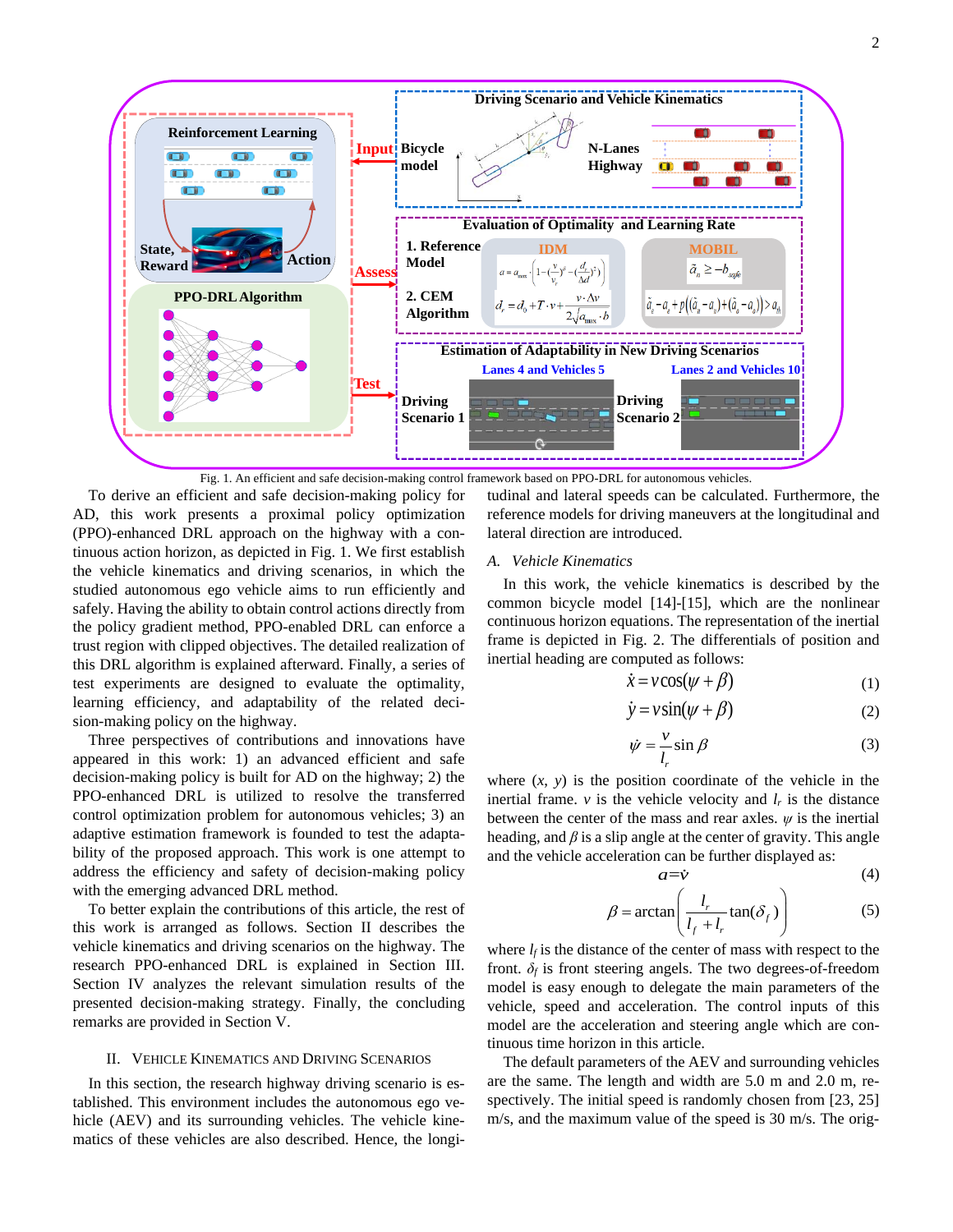

Fig. 1. An efficient and safe decision-making control framework based on PPO-DRL for autonomous vehicles.

To derive an efficient and safe decision-making policy for AD, this work presents a proximal policy optimization (PPO)-enhanced DRL approach on the highway with a continuous action horizon, as depicted in Fig. 1. We first establish the vehicle kinematics and driving scenarios, in which the studied autonomous ego vehicle aims to run efficiently and safely. Having the ability to obtain control actions directly from the policy gradient method, PPO-enabled DRL can enforce a trust region with clipped objectives. The detailed realization of this DRL algorithm is explained afterward. Finally, a series of test experiments are designed to evaluate the optimality, learning efficiency, and adaptability of the related decision-making policy on the highway.

Three perspectives of contributions and innovations have appeared in this work: 1) an advanced efficient and safe decision-making policy is built for AD on the highway; 2) the PPO-enhanced DRL is utilized to resolve the transferred control optimization problem for autonomous vehicles; 3) an adaptive estimation framework is founded to test the adaptability of the proposed approach. This work is one attempt to address the efficiency and safety of decision-making policy with the emerging advanced DRL method.

To better explain the contributions of this article, the rest of this work is arranged as follows. Section II describes the vehicle kinematics and driving scenarios on the highway. The research PPO-enhanced DRL is explained in Section III. Section IV analyzes the relevant simulation results of the presented decision-making strategy. Finally, the concluding remarks are provided in Section V.

#### II. VEHICLE KINEMATICS AND DRIVING SCENARIOS

In this section, the research highway driving scenario is established. This environment includes the autonomous ego vehicle (AEV) and its surrounding vehicles. The vehicle kinematics of these vehicles are also described. Hence, the longitudinal and lateral speeds can be calculated. Furthermore, the reference models for driving maneuvers at the longitudinal and lateral direction are introduced.

#### *A. Vehicle Kinematics*

In this work, the vehicle kinematics is described by the common bicycle model [14]-[15], which are the nonlinear continuous horizon equations. The representation of the inertial frame is depicted in Fig. 2. The differentials of position and inertial heading are computed as follows:

$$
\dot{x} = v \cos(\psi + \beta) \tag{1}
$$

$$
\dot{y} = v \sin(\psi + \beta) \tag{2}
$$

$$
\dot{\psi} = \frac{v}{l_r} \sin \beta \tag{3}
$$

where  $(x, y)$  is the position coordinate of the vehicle in the inertial frame.  $\nu$  is the vehicle velocity and  $l_r$  is the distance between the center of the mass and rear axles.  $\psi$  is the inertial heading, and *β* is a slip angle at the center of gravity. This angle and the vehicle acceleration can be further displayed as:

$$
a = \dot{v} \tag{4}
$$

$$
\beta = \arctan\left(\frac{l_r}{l_f + l_r}\tan(\delta_f)\right) \tag{5}
$$

where  $l_f$  is the distance of the center of mass with respect to the front.  $\delta_f$  is front steering angels. The two degrees-of-freedom model is easy enough to delegate the main parameters of the vehicle, speed and acceleration. The control inputs of this model are the acceleration and steering angle which are continuous time horizon in this article.

The default parameters of the AEV and surrounding vehicles are the same. The length and width are 5.0 m and 2.0 m, respectively. The initial speed is randomly chosen from [23, 25] m/s, and the maximum value of the speed is 30 m/s. The orig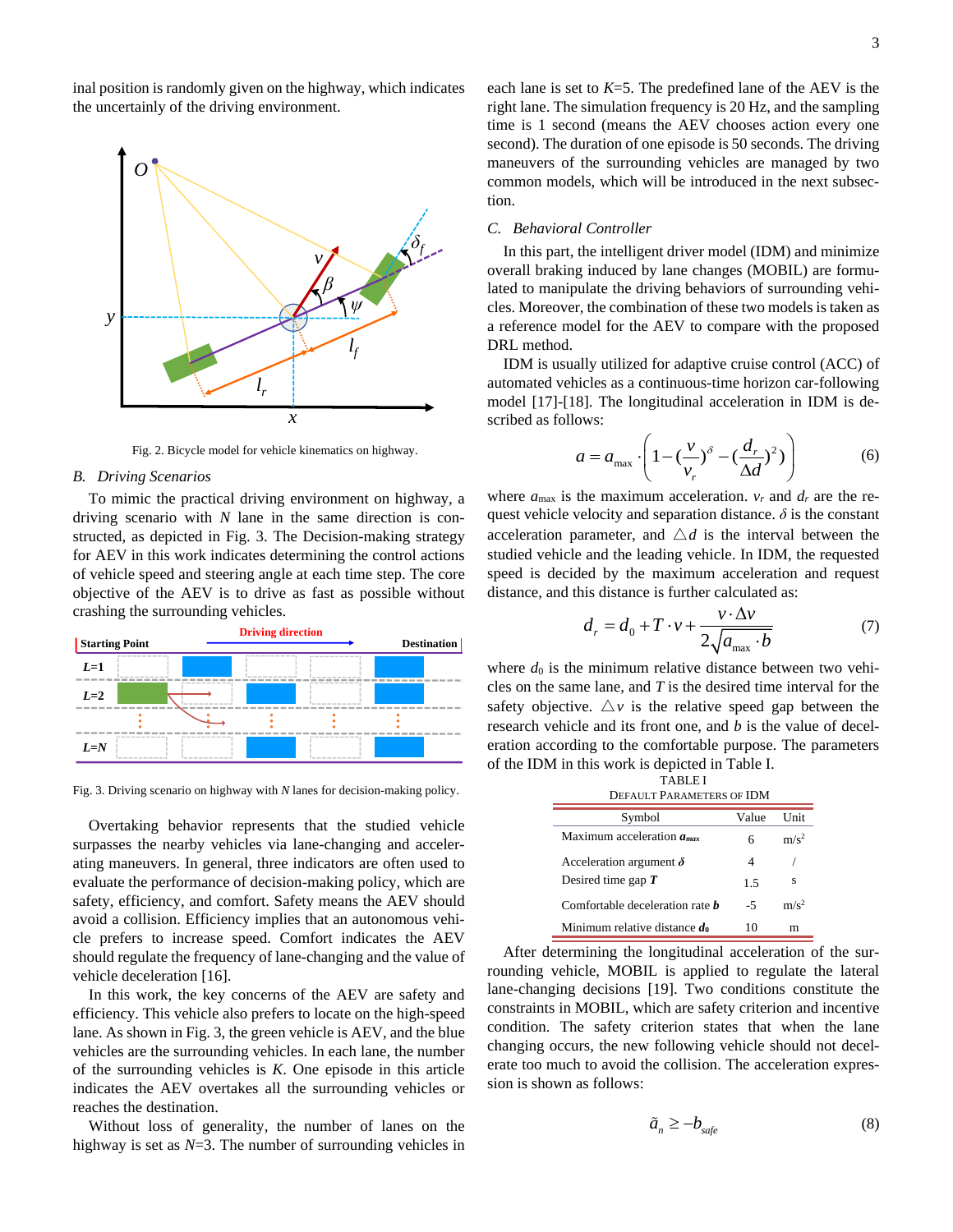inal position is randomly given on the highway, which indicates the uncertainly of the driving environment.



Fig. 2. Bicycle model for vehicle kinematics on highway.

# *B. Driving Scenarios*

To mimic the practical driving environment on highway, a driving scenario with *N* lane in the same direction is constructed, as depicted in Fig. 3. The Decision-making strategy for AEV in this work indicates determining the control actions of vehicle speed and steering angle at each time step. The core objective of the AEV is to drive as fast as possible without crashing the surrounding vehicles.



Fig. 3. Driving scenario on highway with *N* lanes for decision-making policy.

Overtaking behavior represents that the studied vehicle surpasses the nearby vehicles via lane-changing and accelerating maneuvers. In general, three indicators are often used to evaluate the performance of decision-making policy, which are safety, efficiency, and comfort. Safety means the AEV should avoid a collision. Efficiency implies that an autonomous vehicle prefers to increase speed. Comfort indicates the AEV should regulate the frequency of lane-changing and the value of vehicle deceleration [16].

In this work, the key concerns of the AEV are safety and efficiency. This vehicle also prefers to locate on the high-speed lane. As shown in Fig. 3, the green vehicle is AEV, and the blue vehicles are the surrounding vehicles. In each lane, the number of the surrounding vehicles is *K*. One episode in this article indicates the AEV overtakes all the surrounding vehicles or reaches the destination.

Without loss of generality, the number of lanes on the highway is set as *N*=3. The number of surrounding vehicles in each lane is set to *K*=5. The predefined lane of the AEV is the right lane. The simulation frequency is 20 Hz, and the sampling time is 1 second (means the AEV chooses action every one second). The duration of one episode is 50 seconds. The driving maneuvers of the surrounding vehicles are managed by two common models, which will be introduced in the next subsection.

## *C. Behavioral Controller*

In this part, the intelligent driver model (IDM) and minimize overall braking induced by lane changes (MOBIL) are formulated to manipulate the driving behaviors of surrounding vehicles. Moreover, the combination of these two models is taken as a reference model for the AEV to compare with the proposed DRL method.

IDM is usually utilized for adaptive cruise control (ACC) of automated vehicles as a continuous-time horizon car-following model [17]-[18]. The longitudinal acceleration in IDM is described as follows:

ows:  
\n
$$
a = a_{\text{max}} \cdot \left( 1 - \left( \frac{v}{v_r} \right)^{\delta} - \left( \frac{d_r}{\Delta d} \right)^2) \right)
$$
\n(6)

where  $a_{\text{max}}$  is the maximum acceleration.  $v_r$  and  $d_r$  are the request vehicle velocity and separation distance.  $\delta$  is the constant acceleration parameter, and  $\triangle d$  is the interval between the studied vehicle and the leading vehicle. In IDM, the requested speed is decided by the maximum acceleration and request

distance, and this distance is further calculated as:  
\n
$$
d_r = d_0 + T \cdot v + \frac{v \cdot \Delta v}{2\sqrt{a_{\text{max}} \cdot b}}
$$
\n(7)

where  $d_0$  is the minimum relative distance between two vehicles on the same lane, and *T* is the desired time interval for the safety objective.  $\triangle v$  is the relative speed gap between the research vehicle and its front one, and *b* is the value of deceleration according to the comfortable purpose. The parameters of the IDM in this work is depicted in Table I.

| TABLE I<br>DEFAULT PARAMETERS OF IDM   |       |         |  |
|----------------------------------------|-------|---------|--|
| Symbol                                 | Value | I Init  |  |
| Maximum acceleration $a_{\text{max}}$  | 6     | $m/s^2$ |  |
| Acceleration argument $\delta$         | 4     |         |  |
| Desired time gap $T$                   | 1.5   | s       |  |
| Comfortable deceleration rate <b>b</b> | -5    | $m/s^2$ |  |
| Minimum relative distance $d_0$        | 10    | m       |  |

After determining the longitudinal acceleration of the surrounding vehicle, MOBIL is applied to regulate the lateral lane-changing decisions [19]. Two conditions constitute the constraints in MOBIL, which are safety criterion and incentive condition. The safety criterion states that when the lane changing occurs, the new following vehicle should not decelerate too much to avoid the collision. The acceleration expression is shown as follows:

$$
\tilde{a}_n \ge -b_{\text{safe}} \tag{8}
$$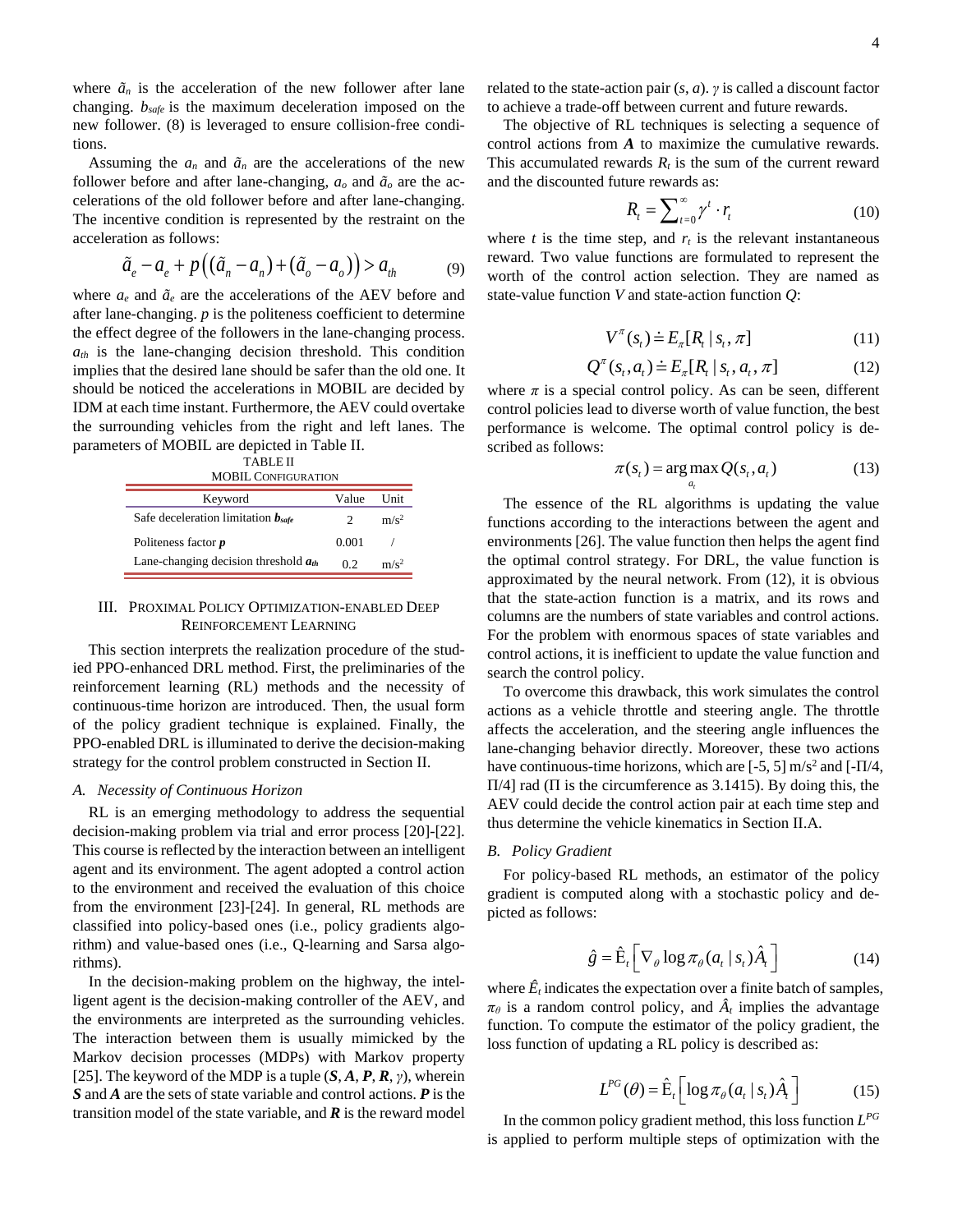where  $\tilde{a}_n$  is the acceleration of the new follower after lane changing. *bsafe* is the maximum deceleration imposed on the new follower. (8) is leveraged to ensure collision-free conditions.

Assuming the  $a_n$  and  $\tilde{a}_n$  are the accelerations of the new follower before and after lane-changing,  $a<sub>o</sub>$  and  $\tilde{a}<sub>o</sub>$  are the accelerations of the old follower before and after lane-changing. The incentive condition is represented by the restraint on the acceleration as follows:

acceleration as follows:  
\n
$$
\tilde{a}_e - a_e + p\left((\tilde{a}_n - a_n) + (\tilde{a}_o - a_o)\right) > a_{th}
$$
\n(9)

where  $a_e$  and  $\tilde{a}_e$  are the accelerations of the AEV before and after lane-changing. *p* is the politeness coefficient to determine the effect degree of the followers in the lane-changing process.  $a_{th}$  is the lane-changing decision threshold. This condition implies that the desired lane should be safer than the old one. It should be noticed the accelerations in MOBIL are decided by IDM at each time instant. Furthermore, the AEV could overtake the surrounding vehicles from the right and left lanes. The parameters of MOBIL are depicted in Table II.

| <b>TABLE II</b>            |
|----------------------------|
| <b>MOBIL CONFIGURATION</b> |

| Keyword                                   | Value | I Init  |
|-------------------------------------------|-------|---------|
| Safe deceleration limitation $b_{safe}$   |       | $m/s^2$ |
| Politeness factor $p$                     | 0.001 |         |
| Lane-changing decision threshold $a_{th}$ | 02    | $m/s^2$ |

## III. PROXIMAL POLICY OPTIMIZATION-ENABLED DEEP REINFORCEMENT LEARNING

This section interprets the realization procedure of the studied PPO-enhanced DRL method. First, the preliminaries of the reinforcement learning (RL) methods and the necessity of continuous-time horizon are introduced. Then, the usual form of the policy gradient technique is explained. Finally, the PPO-enabled DRL is illuminated to derive the decision-making strategy for the control problem constructed in Section II.

#### *A. Necessity of Continuous Horizon*

RL is an emerging methodology to address the sequential decision-making problem via trial and error process [20]-[22]. This course is reflected by the interaction between an intelligent agent and its environment. The agent adopted a control action to the environment and received the evaluation of this choice from the environment [23]-[24]. In general, RL methods are classified into policy-based ones (i.e., policy gradients algorithm) and value-based ones (i.e., Q-learning and Sarsa algorithms).

In the decision-making problem on the highway, the intelligent agent is the decision-making controller of the AEV, and the environments are interpreted as the surrounding vehicles. The interaction between them is usually mimicked by the Markov decision processes (MDPs) with Markov property [25]. The keyword of the MDP is a tuple (*S*, *A*, *P*, *R*, *γ*), wherein *S* and *A* are the sets of state variable and control actions. *P* is the transition model of the state variable, and *R* is the reward model

related to the state-action pair (*s*, *a*). *γ* is called a discount factor to achieve a trade-off between current and future rewards.

The objective of RL techniques is selecting a sequence of control actions from *A* to maximize the cumulative rewards. This accumulated rewards  $R_t$  is the sum of the current reward and the discounted future rewards as:

$$
R_t = \sum_{t=0}^{\infty} \gamma^t \cdot r_t \tag{10}
$$

where  $t$  is the time step, and  $r<sub>t</sub>$  is the relevant instantaneous reward. Two value functions are formulated to represent the worth of the control action selection. They are named as state-value function *V* and state-action function *Q*:

$$
V^{\pi}(s_t) \doteq E_{\pi}[R_t | s_t, \pi]
$$
\n(11)

$$
Q^{\pi}(s_t, a_t) \doteq E_{\pi}[R_t | s_t, a_t, \pi]
$$
 (12)

where  $\pi$  is a special control policy. As can be seen, different control policies lead to diverse worth of value function, the best performance is welcome. The optimal control policy is described as follows:

*t*

$$
\pi(s_t) = \arg \max_{a_t} Q(s_t, a_t)
$$
\n(13)

The essence of the RL algorithms is updating the value functions according to the interactions between the agent and environments [26]. The value function then helps the agent find the optimal control strategy. For DRL, the value function is approximated by the neural network. From (12), it is obvious that the state-action function is a matrix, and its rows and columns are the numbers of state variables and control actions. For the problem with enormous spaces of state variables and control actions, it is inefficient to update the value function and search the control policy.

To overcome this drawback, this work simulates the control actions as a vehicle throttle and steering angle. The throttle affects the acceleration, and the steering angle influences the lane-changing behavior directly. Moreover, these two actions have continuous-time horizons, which are  $[-5, 5]$  m/s<sup>2</sup> and  $[-\Pi/4, ]$ Π/4] rad (Π is the circumference as 3.1415). By doing this, the AEV could decide the control action pair at each time step and thus determine the vehicle kinematics in Section II.A.

#### *B. Policy Gradient*

For policy-based RL methods, an estimator of the policy gradient is computed along with a stochastic policy and depicted as follows:

$$
\hat{g} = \hat{\mathbf{E}}_t \left[ \nabla_{\theta} \log \pi_{\theta} (a_t | s_t) \hat{A}_t \right]
$$
 (14)

where  $\hat{E}_t$  indicates the expectation over a finite batch of samples,  $\pi_{\theta}$  is a random control policy, and  $\hat{A}_t$  implies the advantage function. To compute the estimator of the policy gradient, the loss function of updating a RL policy is described as:

$$
L^{PG}(\theta) = \hat{\mathbf{E}}_t \left[ \log \pi_{\theta}(a_t \mid s_t) \hat{A}_t \right] \tag{15}
$$

In the common policy gradient method, this loss function *L PG* is applied to perform multiple steps of optimization with the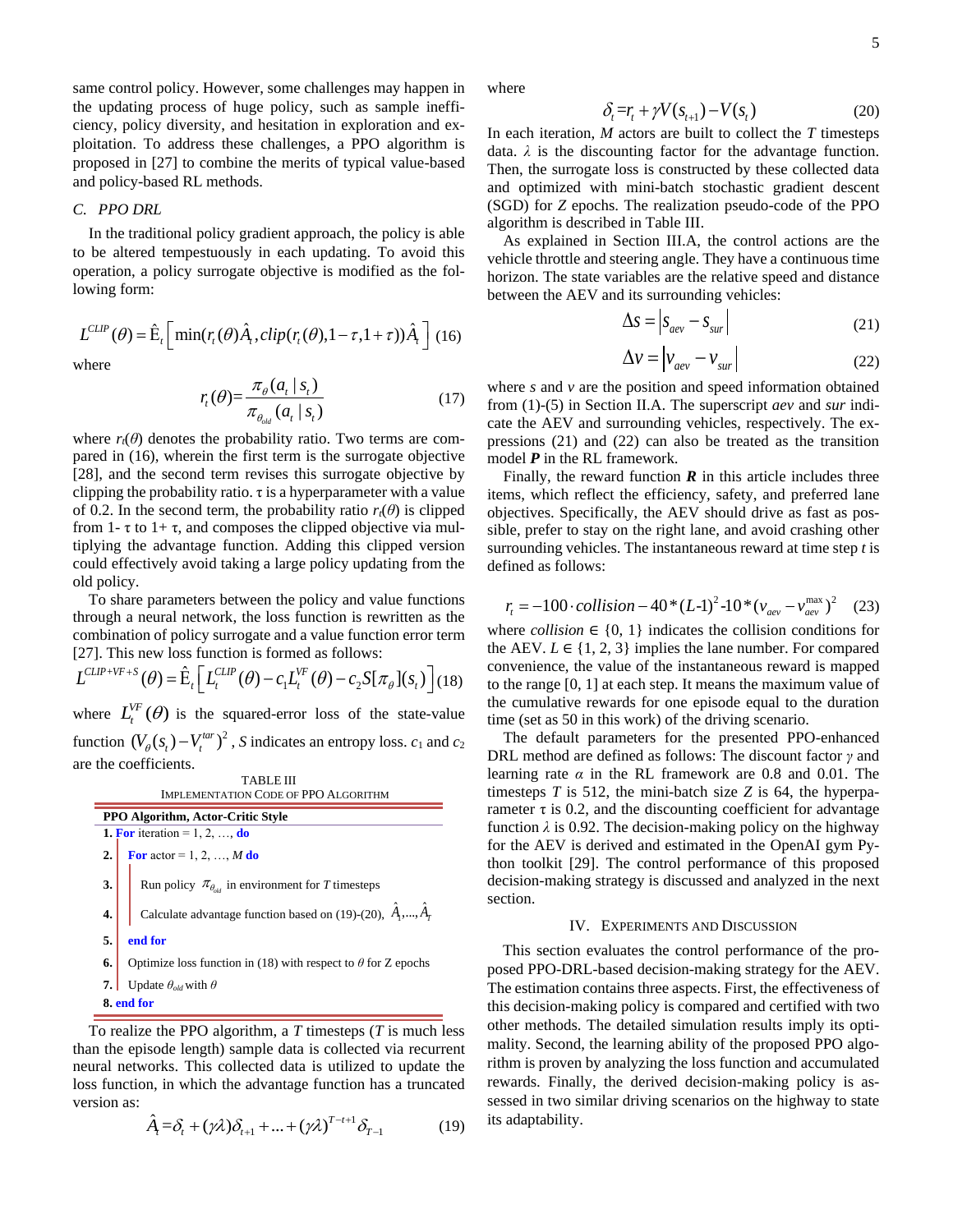same control policy. However, some challenges may happen in the updating process of huge policy, such as sample inefficiency, policy diversity, and hesitation in exploration and exploitation. To address these challenges, a PPO algorithm is proposed in [27] to combine the merits of typical value-based and policy-based RL methods.

# *C. PPO DRL*

In the traditional policy gradient approach, the policy is able to be altered tempestuously in each updating. To avoid this operation, a policy surrogate objective is modified as the following form:

$$
L^{CLIP}(\theta) = \hat{\mathbf{E}}_t \left[ \min(r_t(\theta)\hat{A}_t, clip(r_t(\theta), 1 - \tau, 1 + \tau))\hat{A}_t \right] (16)
$$

where

$$
r_{t}(\theta) = \frac{\pi_{\theta}(a_{t} \mid s_{t})}{\pi_{\theta_{old}}(a_{t} \mid s_{t})}
$$
(17)

where  $r_t(\theta)$  denotes the probability ratio. Two terms are compared in (16), wherein the first term is the surrogate objective [28], and the second term revises this surrogate objective by clipping the probability ratio.  $\tau$  is a hyperparameter with a value of 0.2. In the second term, the probability ratio  $r_t(\theta)$  is clipped from 1-  $\tau$  to 1+  $\tau$ , and composes the clipped objective via multiplying the advantage function. Adding this clipped version could effectively avoid taking a large policy updating from the old policy.

To share parameters between the policy and value functions through a neural network, the loss function is rewritten as the combination of policy surrogate and a value function error term

[27]. This new loss function is formed as follows:  

$$
L^{CLIP+VF+S}(\theta) = \hat{E}_t \left[ L_t^{CLIP}(\theta) - c_1 L_t^{VF}(\theta) - c_2 S[\pi_{\theta}](s_t) \right] (18)
$$

where  $L_t^{VF}(\theta)$  is the squared-error loss of the state-value function  $(V_{\theta}(s_t) - V_t^{tar})^2$ , *S* indicates an entropy loss.  $c_1$  and  $c_2$ are the coefficients.

| TABLE III                                   |                                                                             |  |  |
|---------------------------------------------|-----------------------------------------------------------------------------|--|--|
| <b>IMPLEMENTATION CODE OF PPO ALGORITHM</b> |                                                                             |  |  |
| <b>PPO Algorithm, Actor-Critic Style</b>    |                                                                             |  |  |
| 1. For iteration = 1, 2, , do               |                                                                             |  |  |
| 2.                                          | <b>For</b> actor = 1, 2, , <i>M</i> do                                      |  |  |
| 3.                                          | Run policy $\pi_{\theta_{old}}$ in environment for T timesteps              |  |  |
| 4.                                          | Calculate advantage function based on (19)-(20), $\hat{A}_1$ ,, $\hat{A}_T$ |  |  |
| 5.                                          | end for                                                                     |  |  |
| 6.                                          | Optimize loss function in (18) with respect to $\theta$ for Z epochs        |  |  |
|                                             | Update $\theta_{old}$ with $\theta$                                         |  |  |
| 8. end for                                  |                                                                             |  |  |

To realize the PPO algorithm, a *T* timesteps (*T* is much less than the episode length) sample data is collected via recurrent neural networks. This collected data is utilized to update the loss function, in which the advantage function has a truncated version as:

$$
\hat{A}_t = \delta_t + (\gamma \lambda) \delta_{t+1} + \dots + (\gamma \lambda)^{T-t+1} \delta_{T-1}
$$
\n(19)

where

$$
\delta_i = r_i + \gamma V(s_{i+1}) - V(s_i) \tag{20}
$$

In each iteration, *M* actors are built to collect the *T* timesteps data. *λ* is the discounting factor for the advantage function. Then, the surrogate loss is constructed by these collected data and optimized with mini-batch stochastic gradient descent (SGD) for *Z* epochs. The realization pseudo-code of the PPO algorithm is described in Table III.

As explained in Section III.A, the control actions are the vehicle throttle and steering angle. They have a continuous time horizon. The state variables are the relative speed and distance between the AEV and its surrounding vehicles:

$$
\Delta s = \left| s_{aev} - s_{sur} \right| \tag{21}
$$

$$
\Delta v = \left| v_{\text{aev}} - v_{\text{sur}} \right| \tag{22}
$$

where *s* and *v* are the position and speed information obtained from (1)-(5) in Section II.A. The superscript *aev* and *sur* indicate the AEV and surrounding vehicles, respectively. The expressions (21) and (22) can also be treated as the transition model *P* in the RL framework.

Finally, the reward function  $\bf{R}$  in this article includes three items, which reflect the efficiency, safety, and preferred lane objectives. Specifically, the AEV should drive as fast as possible, prefer to stay on the right lane, and avoid crashing other surrounding vehicles. The instantaneous reward at time step *t* is defined as follows:

$$
r_{t} = -100 \cdot collision - 40*(L-1)^{2} - 10*(v_{\text{aev}} - v_{\text{aev}}^{\text{max}})^{2}
$$
 (23)

where *collision*  $\in \{0, 1\}$  indicates the collision conditions for the AEV.  $L \in \{1, 2, 3\}$  implies the lane number. For compared convenience, the value of the instantaneous reward is mapped to the range [0, 1] at each step. It means the maximum value of the cumulative rewards for one episode equal to the duration time (set as 50 in this work) of the driving scenario.

The default parameters for the presented PPO-enhanced DRL method are defined as follows: The discount factor *γ* and learning rate  $\alpha$  in the RL framework are 0.8 and 0.01. The timesteps *T* is 512, the mini-batch size *Z* is 64, the hyperparameter  $\tau$  is 0.2, and the discounting coefficient for advantage function  $\lambda$  is 0.92. The decision-making policy on the highway for the AEV is derived and estimated in the OpenAI gym Python toolkit [29]. The control performance of this proposed decision-making strategy is discussed and analyzed in the next section.

# IV. EXPERIMENTS AND DISCUSSION

This section evaluates the control performance of the proposed PPO-DRL-based decision-making strategy for the AEV. The estimation contains three aspects. First, the effectiveness of this decision-making policy is compared and certified with two other methods. The detailed simulation results imply its optimality. Second, the learning ability of the proposed PPO algorithm is proven by analyzing the loss function and accumulated rewards. Finally, the derived decision-making policy is assessed in two similar driving scenarios on the highway to state its adaptability.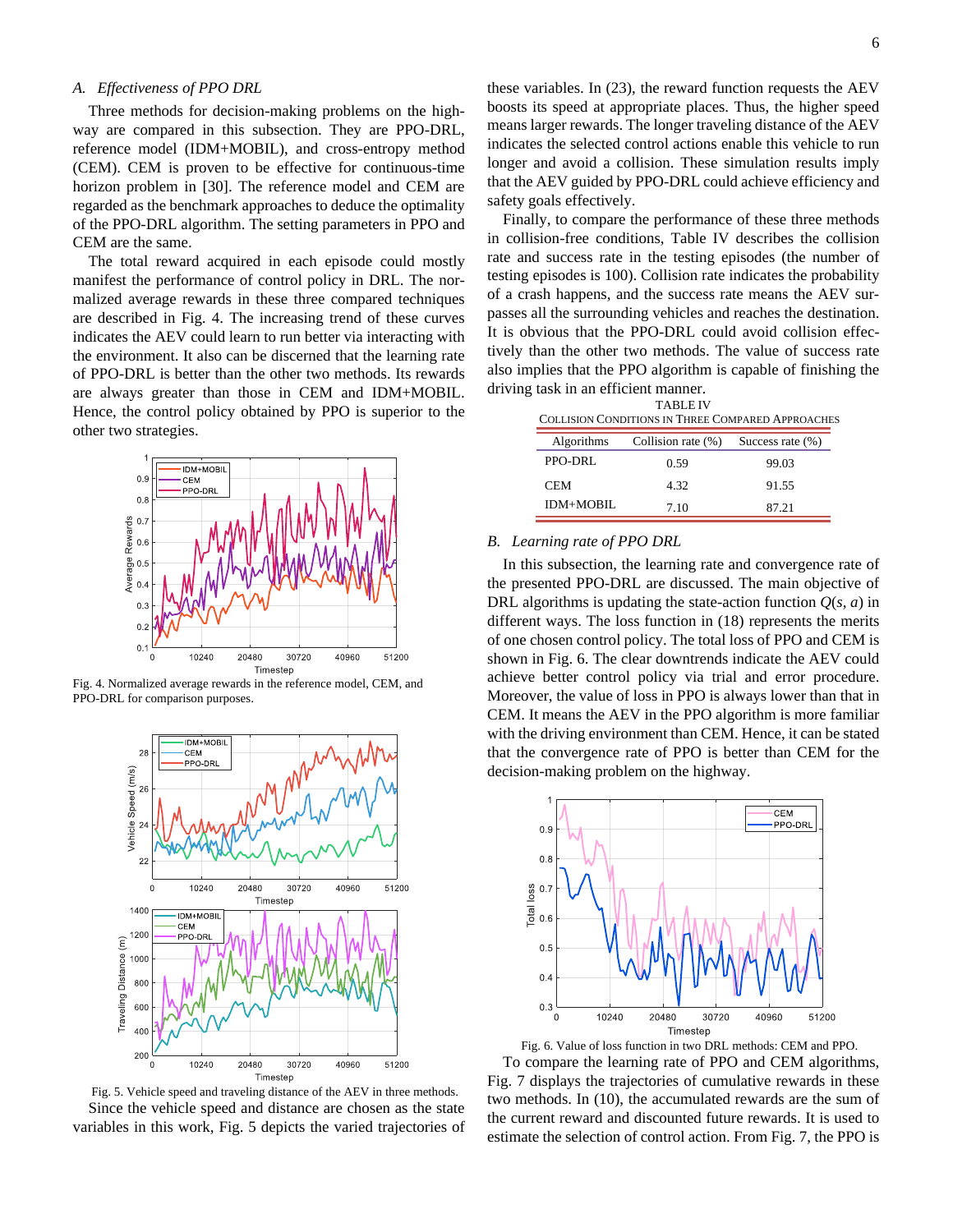# *A. Effectiveness of PPO DRL*

Three methods for decision-making problems on the highway are compared in this subsection. They are PPO-DRL, reference model (IDM+MOBIL), and cross-entropy method (CEM). CEM is proven to be effective for continuous-time horizon problem in [30]. The reference model and CEM are regarded as the benchmark approaches to deduce the optimality of the PPO-DRL algorithm. The setting parameters in PPO and CEM are the same.

The total reward acquired in each episode could mostly manifest the performance of control policy in DRL. The normalized average rewards in these three compared techniques are described in Fig. 4. The increasing trend of these curves indicates the AEV could learn to run better via interacting with the environment. It also can be discerned that the learning rate of PPO-DRL is better than the other two methods. Its rewards are always greater than those in CEM and IDM+MOBIL. Hence, the control policy obtained by PPO is superior to the other two strategies.



Fig. 4. Normalized average rewards in the reference model, CEM, and PPO-DRL for comparison purposes.



Fig. 5. Vehicle speed and traveling distance of the AEV in three methods. Since the vehicle speed and distance are chosen as the state variables in this work, Fig. 5 depicts the varied trajectories of

these variables. In (23), the reward function requests the AEV boosts its speed at appropriate places. Thus, the higher speed means larger rewards. The longer traveling distance of the AEV indicates the selected control actions enable this vehicle to run longer and avoid a collision. These simulation results imply that the AEV guided by PPO-DRL could achieve efficiency and safety goals effectively.

Finally, to compare the performance of these three methods in collision-free conditions, Table IV describes the collision rate and success rate in the testing episodes (the number of testing episodes is 100). Collision rate indicates the probability of a crash happens, and the success rate means the AEV surpasses all the surrounding vehicles and reaches the destination. It is obvious that the PPO-DRL could avoid collision effectively than the other two methods. The value of success rate also implies that the PPO algorithm is capable of finishing the driving task in an efficient manner.

| <b>TABLE IV</b>                                   |
|---------------------------------------------------|
| COLLISION CONDITIONS IN THREE COMPARED APPROACHES |
|                                                   |

| <b>Algorithms</b> | Collision rate (%) | Success rate $(\%)$ |
|-------------------|--------------------|---------------------|
| PPO-DRL           | 0.59               | 99.03               |
| CEM.              | 4.32               | 91.55               |
| <b>IDM+MOBIL</b>  | 7.10               | 87.21               |

# *B. Learning rate of PPO DRL*

In this subsection, the learning rate and convergence rate of the presented PPO-DRL are discussed. The main objective of DRL algorithms is updating the state-action function  $Q(s, a)$  in different ways. The loss function in (18) represents the merits of one chosen control policy. The total loss of PPO and CEM is shown in Fig. 6. The clear downtrends indicate the AEV could achieve better control policy via trial and error procedure. Moreover, the value of loss in PPO is always lower than that in CEM. It means the AEV in the PPO algorithm is more familiar with the driving environment than CEM. Hence, it can be stated that the convergence rate of PPO is better than CEM for the decision-making problem on the highway.



Fig. 6. Value of loss function in two DRL methods: CEM and PPO.

To compare the learning rate of PPO and CEM algorithms, Fig. 7 displays the trajectories of cumulative rewards in these two methods. In (10), the accumulated rewards are the sum of the current reward and discounted future rewards. It is used to estimate the selection of control action. From Fig. 7, the PPO is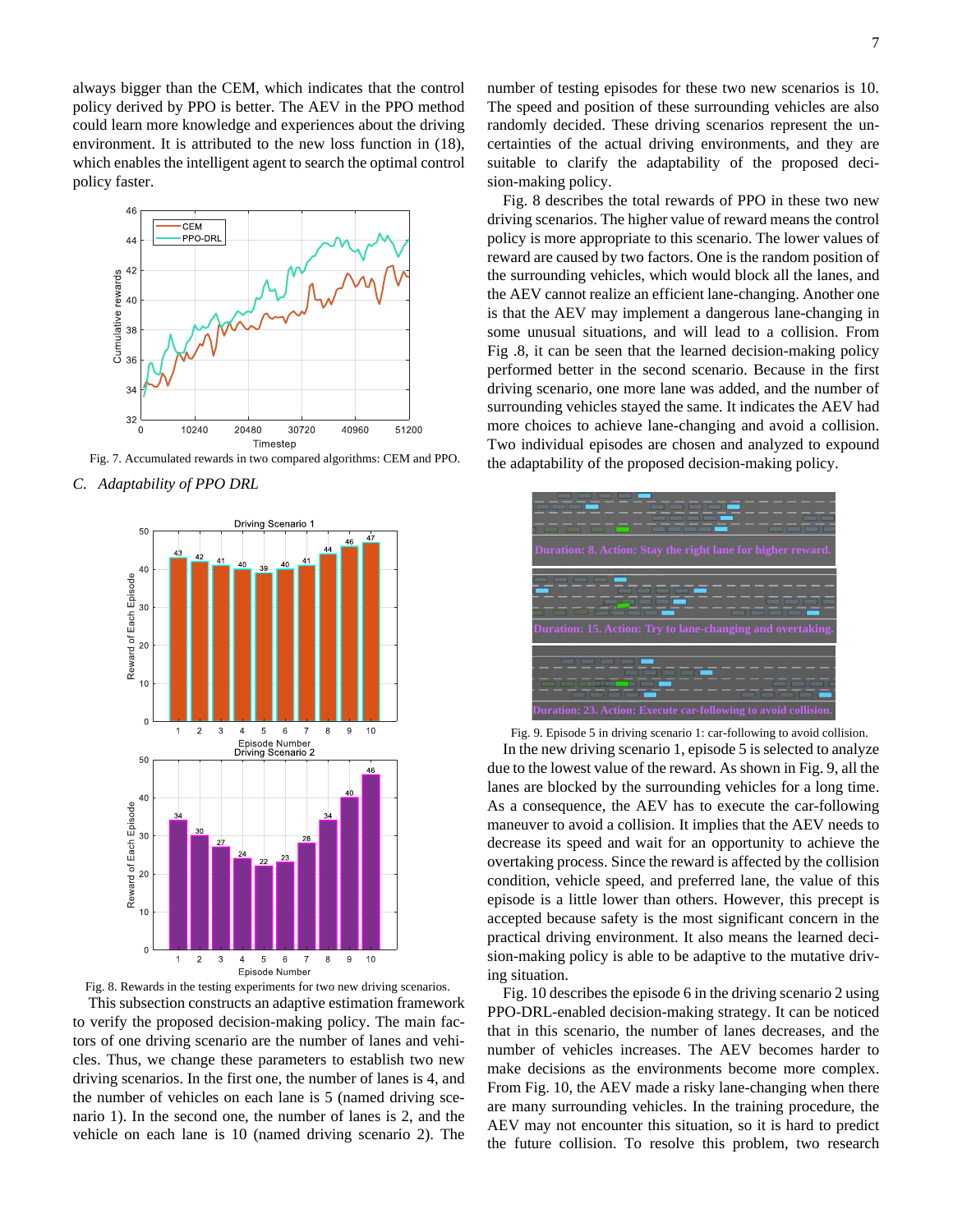always bigger than the CEM, which indicates that the control policy derived by PPO is better. The AEV in the PPO method could learn more knowledge and experiences about the driving environment. It is attributed to the new loss function in (18), which enables the intelligent agent to search the optimal control policy faster.



Fig. 7. Accumulated rewards in two compared algorithms: CEM and PPO.

*C. Adaptability of PPO DRL*





This subsection constructs an adaptive estimation framework to verify the proposed decision-making policy. The main factors of one driving scenario are the number of lanes and vehicles. Thus, we change these parameters to establish two new driving scenarios. In the first one, the number of lanes is 4, and the number of vehicles on each lane is 5 (named driving scenario 1). In the second one, the number of lanes is 2, and the vehicle on each lane is 10 (named driving scenario 2). The number of testing episodes for these two new scenarios is 10. The speed and position of these surrounding vehicles are also randomly decided. These driving scenarios represent the uncertainties of the actual driving environments, and they are suitable to clarify the adaptability of the proposed decision-making policy.

Fig. 8 describes the total rewards of PPO in these two new driving scenarios. The higher value of reward means the control policy is more appropriate to this scenario. The lower values of reward are caused by two factors. One is the random position of the surrounding vehicles, which would block all the lanes, and the AEV cannot realize an efficient lane-changing. Another one is that the AEV may implement a dangerous lane-changing in some unusual situations, and will lead to a collision. From Fig .8, it can be seen that the learned decision-making policy performed better in the second scenario. Because in the first driving scenario, one more lane was added, and the number of surrounding vehicles stayed the same. It indicates the AEV had more choices to achieve lane-changing and avoid a collision. Two individual episodes are chosen and analyzed to expound the adaptability of the proposed decision-making policy.



Fig. 9. Episode 5 in driving scenario 1: car-following to avoid collision.

In the new driving scenario 1, episode 5 is selected to analyze due to the lowest value of the reward. As shown in Fig. 9, all the lanes are blocked by the surrounding vehicles for a long time. As a consequence, the AEV has to execute the car-following maneuver to avoid a collision. It implies that the AEV needs to decrease its speed and wait for an opportunity to achieve the overtaking process. Since the reward is affected by the collision condition, vehicle speed, and preferred lane, the value of this episode is a little lower than others. However, this precept is accepted because safety is the most significant concern in the practical driving environment. It also means the learned decision-making policy is able to be adaptive to the mutative driving situation.

Fig. 10 describes the episode 6 in the driving scenario 2 using PPO-DRL-enabled decision-making strategy. It can be noticed that in this scenario, the number of lanes decreases, and the number of vehicles increases. The AEV becomes harder to make decisions as the environments become more complex. From Fig. 10, the AEV made a risky lane-changing when there are many surrounding vehicles. In the training procedure, the AEV may not encounter this situation, so it is hard to predict the future collision. To resolve this problem, two research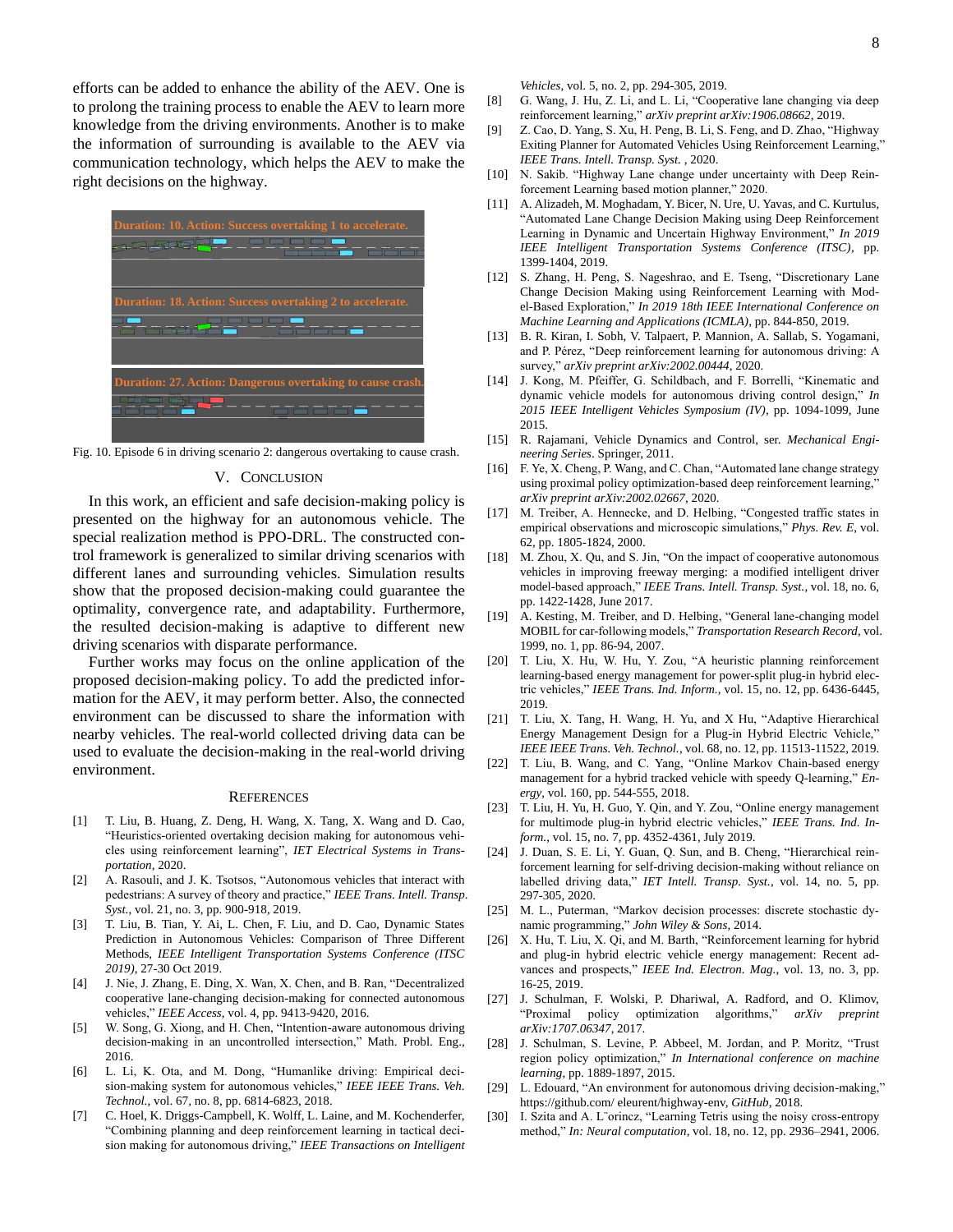efforts can be added to enhance the ability of the AEV. One is to prolong the training process to enable the AEV to learn more knowledge from the driving environments. Another is to make the information of surrounding is available to the AEV via communication technology, which helps the AEV to make the right decisions on the highway.



Fig. 10. Episode 6 in driving scenario 2: dangerous overtaking to cause crash.

# V. CONCLUSION

In this work, an efficient and safe decision-making policy is presented on the highway for an autonomous vehicle. The special realization method is PPO-DRL. The constructed control framework is generalized to similar driving scenarios with different lanes and surrounding vehicles. Simulation results show that the proposed decision-making could guarantee the optimality, convergence rate, and adaptability. Furthermore, the resulted decision-making is adaptive to different new driving scenarios with disparate performance.

Further works may focus on the online application of the proposed decision-making policy. To add the predicted information for the AEV, it may perform better. Also, the connected environment can be discussed to share the information with nearby vehicles. The real-world collected driving data can be used to evaluate the decision-making in the real-world driving environment.

#### **REFERENCES**

- [1] T. Liu, B. Huang, Z. Deng, H. Wang, X. Tang, X. Wang and D. Cao, "Heuristics-oriented overtaking decision making for autonomous vehicles using reinforcement learning", *IET Electrical Systems in Transportation*, 2020.
- [2] A. Rasouli, and J. K. Tsotsos, "Autonomous vehicles that interact with pedestrians: A survey of theory and practice," *IEEE Trans. Intell. Transp. Syst.*, vol. 21, no. 3, pp. 900-918, 2019.
- [3] T. Liu, B. Tian, Y. Ai, L. Chen, F. Liu, and D. Cao, Dynamic States Prediction in Autonomous Vehicles: Comparison of Three Different Methods, *IEEE Intelligent Transportation Systems Conference (ITSC 2019)*, 27-30 Oct 2019.
- [4] J. Nie, J. Zhang, E. Ding, X. Wan, X. Chen, and B. Ran, "Decentralized cooperative lane-changing decision-making for connected autonomous vehicles," *IEEE Access*, vol. 4, pp. 9413-9420, 2016.
- [5] W. Song, G. Xiong, and H. Chen, "Intention-aware autonomous driving decision-making in an uncontrolled intersection," Math. Probl. Eng., 2016.
- [6] L. Li, K. Ota, and M. Dong, "Humanlike driving: Empirical decision-making system for autonomous vehicles," *IEEE IEEE Trans. Veh. Technol.*, vol. 67, no. 8, pp. 6814-6823, 2018.
- [7] C. Hoel, K. Driggs-Campbell, K. Wolff, L. Laine, and M. Kochenderfer, "Combining planning and deep reinforcement learning in tactical decision making for autonomous driving," *IEEE Transactions on Intelligent*

*Vehicles*, vol. 5, no. 2, pp. 294-305, 2019.

- [8] G. Wang, J. Hu, Z. Li, and L. Li, "Cooperative lane changing via deep reinforcement learning," *arXiv preprint arXiv:1906.08662*, 2019.
- [9] Z. Cao, D. Yang, S. Xu, H. Peng, B. Li, S. Feng, and D. Zhao, "Highway Exiting Planner for Automated Vehicles Using Reinforcement Learning," *IEEE Trans. Intell. Transp. Syst.* , 2020.
- [10] N. Sakib. "Highway Lane change under uncertainty with Deep Reinforcement Learning based motion planner," 2020.
- [11] A. Alizadeh, M. Moghadam, Y. Bicer, N. Ure, U. Yavas, and C. Kurtulus, "Automated Lane Change Decision Making using Deep Reinforcement Learning in Dynamic and Uncertain Highway Environment," *In 2019 IEEE Intelligent Transportation Systems Conference (ITSC)*, pp. 1399-1404, 2019.
- [12] S. Zhang, H. Peng, S. Nageshrao, and E. Tseng, "Discretionary Lane Change Decision Making using Reinforcement Learning with Model-Based Exploration," *In 2019 18th IEEE International Conference on Machine Learning and Applications (ICMLA)*, pp. 844-850, 2019.
- [13] B. R. Kiran, I. Sobh, V. Talpaert, P. Mannion, A. Sallab, S. Yogamani, and P. Pérez, "Deep reinforcement learning for autonomous driving: A survey," *arXiv preprint arXiv:2002.00444*, 2020.
- [14] J. Kong, M. Pfeiffer, G. Schildbach, and F. Borrelli, "Kinematic and dynamic vehicle models for autonomous driving control design," *In 2015 IEEE Intelligent Vehicles Symposium (IV)*, pp. 1094-1099, June 2015.
- [15] R. Rajamani, Vehicle Dynamics and Control, ser. *Mechanical Engineering Series*. Springer, 2011.
- [16] F. Ye, X. Cheng, P. Wang, and C. Chan, "Automated lane change strategy using proximal policy optimization-based deep reinforcement learning," *arXiv preprint arXiv:2002.02667*, 2020.
- [17] M. Treiber, A. Hennecke, and D. Helbing, "Congested traffic states in empirical observations and microscopic simulations," *Phys. Rev. E*, vol. 62, pp. 1805-1824, 2000.
- [18] M. Zhou, X. Qu, and S. Jin, "On the impact of cooperative autonomous vehicles in improving freeway merging: a modified intelligent driver model-based approach," *IEEE Trans. Intell. Transp. Syst.*, vol. 18, no. 6, pp. 1422-1428, June 2017.
- [19] A. Kesting, M. Treiber, and D. Helbing, "General lane-changing model MOBIL for car-following models," *Transportation Research Record*, vol. 1999, no. 1, pp. 86-94, 2007.
- [20] T. Liu, X. Hu, W. Hu, Y. Zou, "A heuristic planning reinforcement learning-based energy management for power-split plug-in hybrid electric vehicles," *IEEE Trans. Ind. Inform.*, vol. 15, no. 12, pp. 6436-6445, 2019.
- [21] T. Liu, X. Tang, H. Wang, H. Yu, and X Hu, "Adaptive Hierarchical Energy Management Design for a Plug-in Hybrid Electric Vehicle," *IEEE IEEE Trans. Veh. Technol.*, vol. 68, no. 12, pp. 11513-11522, 2019.
- [22] T. Liu, B. Wang, and C. Yang, "Online Markov Chain-based energy management for a hybrid tracked vehicle with speedy Q-learning," *Energy*, vol. 160, pp. 544-555, 2018.
- [23] T. Liu, H. Yu, H. Guo, Y. Qin, and Y. Zou, "Online energy management for multimode plug-in hybrid electric vehicles," *IEEE Trans. Ind. Inform.*, vol. 15, no. 7, pp. 4352-4361, July 2019.
- [24] J. Duan, S. E. Li, Y. Guan, Q. Sun, and B. Cheng, "Hierarchical reinforcement learning for self-driving decision-making without reliance on labelled driving data," *IET Intell. Transp. Syst.*, vol. 14, no. 5, pp. 297-305, 2020.
- [25] M. L., Puterman, "Markov decision processes: discrete stochastic dynamic programming," *John Wiley & Sons*, 2014.
- [26] X. Hu, T. Liu, X. Qi, and M. Barth, "Reinforcement learning for hybrid and plug-in hybrid electric vehicle energy management: Recent advances and prospects," *IEEE Ind. Electron. Mag.*, vol. 13, no. 3, pp. 16-25, 2019.
- [27] J. Schulman, F. Wolski, P. Dhariwal, A. Radford, and O. Klimov, "Proximal policy optimization algorithms," *arXiv preprint arXiv:1707.06347*, 2017.
- [28] J. Schulman, S. Levine, P. Abbeel, M. Jordan, and P. Moritz, "Trust region policy optimization," *In International conference on machine learning*, pp. 1889-1897, 2015.
- [29] L. Edouard, "An environment for autonomous driving decision-making," https://github.com/ eleurent/highway-env, *GitHub*, 2018.
- [30] I. Szita and A. L"orincz, "Learning Tetris using the noisy cross-entropy method," *In: Neural computation*, vol. 18, no. 12, pp. 2936–2941, 2006.